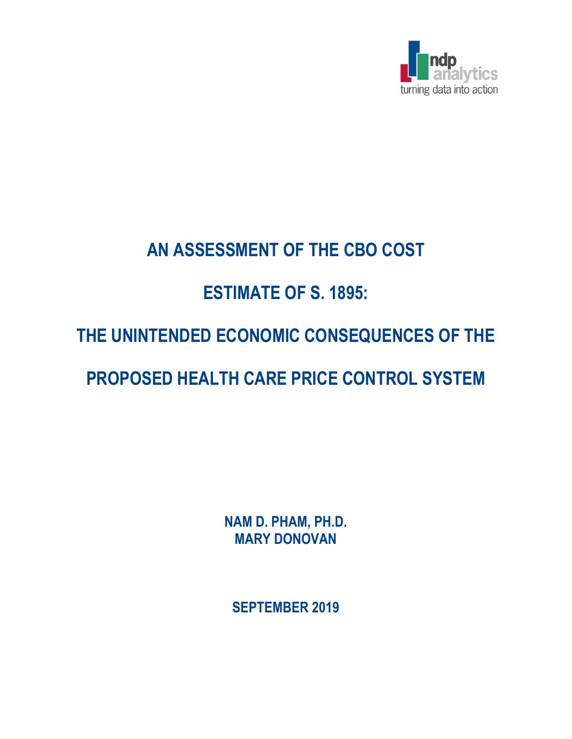

## **AN ASSESSMENT OF THE CBO COST**

## **ESTIMATE OF S. 1895:**

# **THE UNINTENDED ECONOMIC CONSEQUENCES OF THE**

# **PROPOSED HEALTH CARE PRICE CONTROL SYSTEM**

**NAM D. PHAM, PH.D. MARY DONOVAN**

**SEPTEMBER 2019**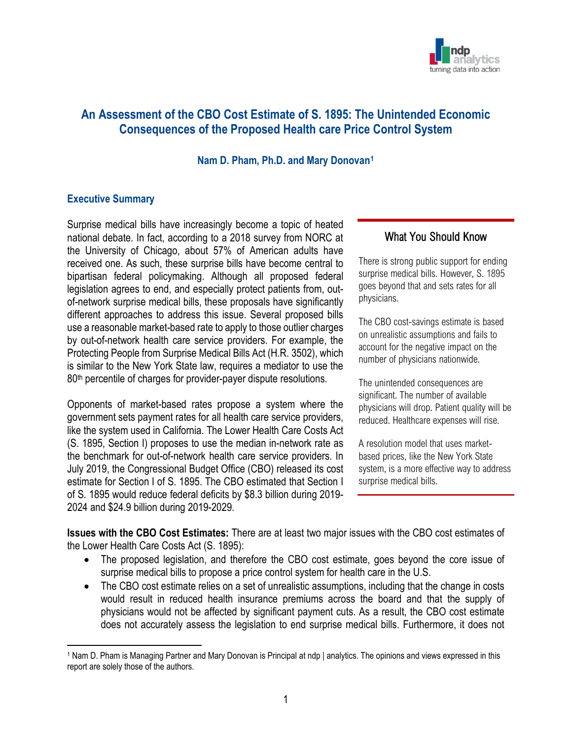

### **An Assessment of the CBO Cost Estimate of S. 1895: The Unintended Economic Consequences of the Proposed Health care Price Control System**

#### **Nam D. Pham, Ph.D. and Mary Donovan[1](#page-1-0)**

#### **Executive Summary**

Surprise medical bills have increasingly become a topic of heated national debate. In fact, according to a 2018 survey from NORC at the University of Chicago, about 57% of American adults have received one. As such, these surprise bills have become central to bipartisan federal policymaking. Although all proposed federal legislation agrees to end, and especially protect patients from, outof-network surprise medical bills, these proposals have significantly different approaches to address this issue. Several proposed bills use a reasonable market-based rate to apply to those outlier charges by out-of-network health care service providers. For example, the Protecting People from Surprise Medical Bills Act (H.R. 3502), which is similar to the New York State law, requires a mediator to use the 80<sup>th</sup> percentile of charges for provider-payer dispute resolutions.

Opponents of market-based rates propose a system where the government sets payment rates for all health care service providers, like the system used in California. The Lower Health Care Costs Act (S. 1895, Section I) proposes to use the median in-network rate as the benchmark for out-of-network health care service providers. In July 2019, the Congressional Budget Office (CBO) released its cost estimate for Section I of S. 1895. The CBO estimated that Section I of S. 1895 would reduce federal deficits by \$8.3 billion during 2019- 2024 and \$24.9 billion during 2019-2029.

#### What You Should Know

There is strong public support for ending surprise medical bills. However, S. 1895 goes beyond that and sets rates for all physicians.

The CBO cost-savings estimate is based on unrealistic assumptions and fails to account for the negative impact on the number of physicians nationwide.

The unintended consequences are significant. The number of available physicians will drop. Patient quality will be reduced. Healthcare expenses will rise.

A resolution model that uses marketbased prices, like the New York State system, is a more effective way to address surprise medical bills.

**Issues with the CBO Cost Estimates:** There are at least two major issues with the CBO cost estimates of the Lower Health Care Costs Act (S. 1895):

- The proposed legislation, and therefore the CBO cost estimate, goes beyond the core issue of surprise medical bills to propose a price control system for health care in the U.S.
- The CBO cost estimate relies on a set of unrealistic assumptions, including that the change in costs would result in reduced health insurance premiums across the board and that the supply of physicians would not be affected by significant payment cuts. As a result, the CBO cost estimate does not accurately assess the legislation to end surprise medical bills. Furthermore, it does not

<span id="page-1-0"></span><sup>1</sup> Nam D. Pham is Managing Partner and Mary Donovan is Principal at ndp | analytics. The opinions and views expressed in this report are solely those of the authors.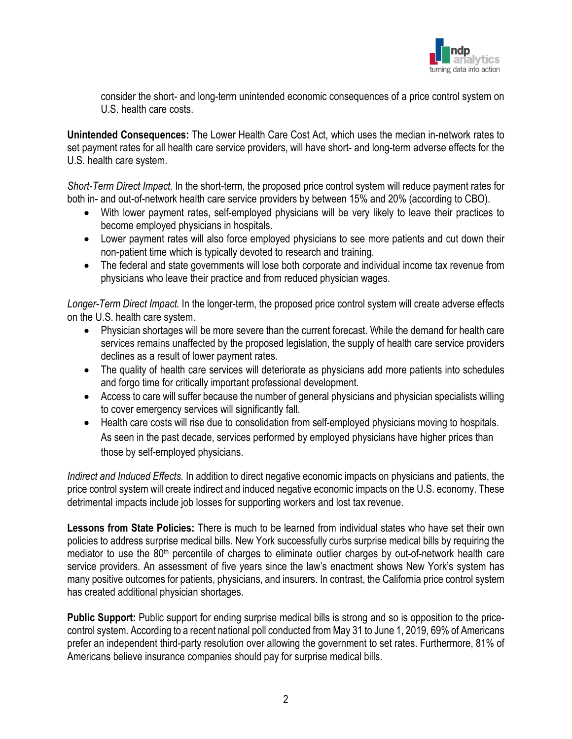

consider the short- and long-term unintended economic consequences of a price control system on U.S. health care costs.

**Unintended Consequences:** The Lower Health Care Cost Act, which uses the median in-network rates to set payment rates for all health care service providers, will have short- and long-term adverse effects for the U.S. health care system.

*Short-Term Direct Impact.* In the short-term, the proposed price control system will reduce payment rates for both in- and out-of-network health care service providers by between 15% and 20% (according to CBO).

- With lower payment rates, self-employed physicians will be very likely to leave their practices to become employed physicians in hospitals.
- Lower payment rates will also force employed physicians to see more patients and cut down their non-patient time which is typically devoted to research and training.
- The federal and state governments will lose both corporate and individual income tax revenue from physicians who leave their practice and from reduced physician wages.

*Longer-Term Direct Impact.* In the longer-term, the proposed price control system will create adverse effects on the U.S. health care system.

- Physician shortages will be more severe than the current forecast. While the demand for health care services remains unaffected by the proposed legislation, the supply of health care service providers declines as a result of lower payment rates.
- The quality of health care services will deteriorate as physicians add more patients into schedules and forgo time for critically important professional development.
- Access to care will suffer because the number of general physicians and physician specialists willing to cover emergency services will significantly fall.
- Health care costs will rise due to consolidation from self-employed physicians moving to hospitals. As seen in the past decade, services performed by employed physicians have higher prices than those by self-employed physicians.

*Indirect and Induced Effects.* In addition to direct negative economic impacts on physicians and patients, the price control system will create indirect and induced negative economic impacts on the U.S. economy. These detrimental impacts include job losses for supporting workers and lost tax revenue.

**Lessons from State Policies:** There is much to be learned from individual states who have set their own policies to address surprise medical bills. New York successfully curbs surprise medical bills by requiring the mediator to use the 80<sup>th</sup> percentile of charges to eliminate outlier charges by out-of-network health care service providers. An assessment of five years since the law's enactment shows New York's system has many positive outcomes for patients, physicians, and insurers. In contrast, the California price control system has created additional physician shortages.

**Public Support:** Public support for ending surprise medical bills is strong and so is opposition to the pricecontrol system. According to a recent national poll conducted from May 31 to June 1, 2019, 69% of Americans prefer an independent third-party resolution over allowing the government to set rates. Furthermore, 81% of Americans believe insurance companies should pay for surprise medical bills.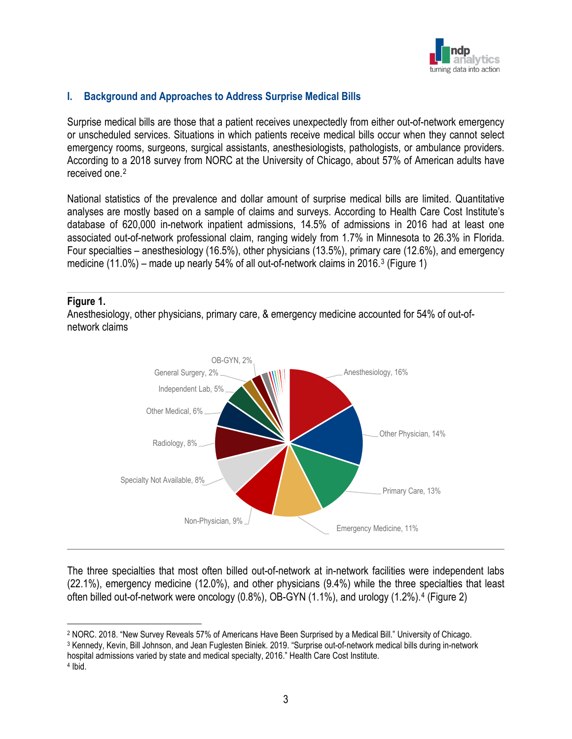

### **I. Background and Approaches to Address Surprise Medical Bills**

Surprise medical bills are those that a patient receives unexpectedly from either out-of-network emergency or unscheduled services. Situations in which patients receive medical bills occur when they cannot select emergency rooms, surgeons, surgical assistants, anesthesiologists, pathologists, or ambulance providers. According to a 2018 survey from NORC at the University of Chicago, about 57% of American adults have received one.[2](#page-3-0)

National statistics of the prevalence and dollar amount of surprise medical bills are limited. Quantitative analyses are mostly based on a sample of claims and surveys. According to Health Care Cost Institute's database of 620,000 in-network inpatient admissions, 14.5% of admissions in 2016 had at least one associated out-of-network professional claim, ranging widely from 1.7% in Minnesota to 26.3% in Florida. Four specialties – anesthesiology (16.5%), other physicians (13.5%), primary care (12.6%), and emergency medicine (11.0%) – made up nearly 54% of all out-of-network claims in 2016.[3](#page-3-1) (Figure 1)

#### **Figure 1.**

Anesthesiology, other physicians, primary care, & emergency medicine accounted for 54% of out-ofnetwork claims



The three specialties that most often billed out-of-network at in-network facilities were independent labs (22.1%), emergency medicine (12.0%), and other physicians (9.4%) while the three specialties that least often billed out-of-network were oncology (0.8%), OB-GYN (1.1%), and urology (1.2%).[4](#page-3-2) (Figure 2)

<span id="page-3-0"></span><sup>2</sup> NORC. 2018. "New Survey Reveals 57% of Americans Have Been Surprised by a Medical Bill." University of Chicago.

<span id="page-3-1"></span><sup>3</sup> Kennedy, Kevin, Bill Johnson, and Jean Fuglesten Biniek. 2019. "Surprise out-of-network medical bills during in-network hospital admissions varied by state and medical specialty, 2016." Health Care Cost Institute.

<span id="page-3-2"></span><sup>4</sup> Ibid.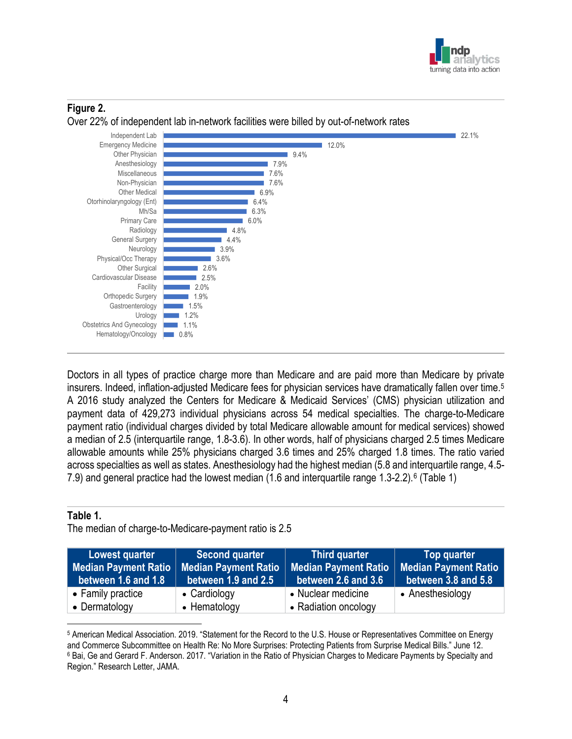



### **Figure 2.**

Doctors in all types of practice charge more than Medicare and are paid more than Medicare by private insurers. Indeed, inflation-adjusted Medicare fees for physician services have dramatically fallen over time. [5](#page-4-0) A 2016 study analyzed the Centers for Medicare & Medicaid Services' (CMS) physician utilization and payment data of 429,273 individual physicians across 54 medical specialties. The charge-to-Medicare payment ratio (individual charges divided by total Medicare allowable amount for medical services) showed a median of 2.5 (interquartile range, 1.8-3.6). In other words, half of physicians charged 2.5 times Medicare allowable amounts while 25% physicians charged 3.6 times and 25% charged 1.8 times. The ratio varied across specialties as well as states. Anesthesiology had the highest median (5.8 and interquartile range, 4.5- 7.9) and general practice had the lowest median (1.6 and interquartile range 1.3-2.2).[6](#page-4-1) (Table 1)

#### **Table 1.**

The median of charge-to-Medicare-payment ratio is 2.5

| Lowest quarter<br>Median Payment Ratio   Median Payment Ratio<br>between 1.6 and 1.8 | <b>Second quarter</b><br>between 1.9 and 2.5 | <b>Third quarter</b><br><b>Median Payment Ratio</b><br>between 2.6 and 3.6 | Top quarter<br><b>Median Payment Ratio</b><br>between 3.8 and 5.8 |
|--------------------------------------------------------------------------------------|----------------------------------------------|----------------------------------------------------------------------------|-------------------------------------------------------------------|
| • Family practice                                                                    | • Cardiology                                 | • Nuclear medicine                                                         | • Anesthesiology                                                  |
| • Dermatology                                                                        | • Hematology                                 | • Radiation oncology                                                       |                                                                   |

<span id="page-4-1"></span><span id="page-4-0"></span><sup>5</sup> American Medical Association. 2019. "Statement for the Record to the U.S. House or Representatives Committee on Energy and Commerce Subcommittee on Health Re: No More Surprises: Protecting Patients from Surprise Medical Bills." June 12. <sup>6</sup> Bai, Ge and Gerard F. Anderson. 2017. "Variation in the Ratio of Physician Charges to Medicare Payments by Specialty and Region." Research Letter, JAMA.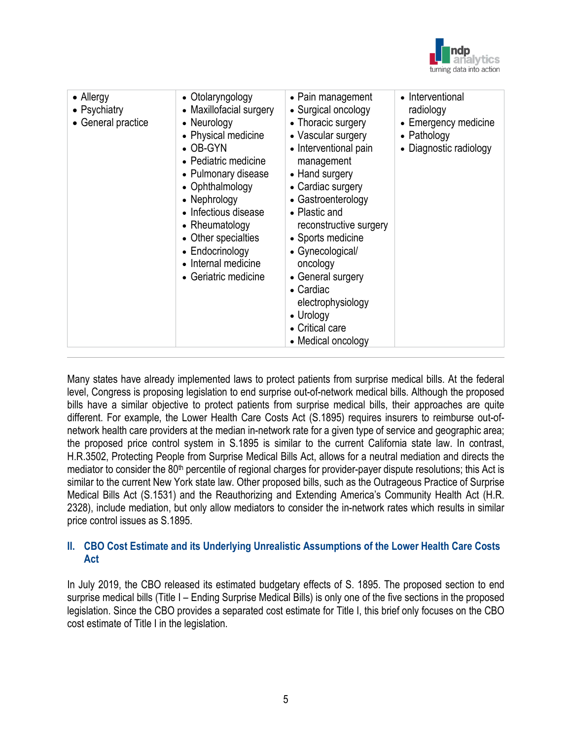

| • Allergy<br>• Psychiatry<br>• General practice | • Otolaryngology<br>• Maxillofacial surgery<br>• Neurology<br>• Physical medicine<br>$\bullet$ OB-GYN<br>• Pediatric medicine<br>• Pulmonary disease<br>• Ophthalmology<br>• Nephrology<br>• Infectious disease<br>• Rheumatology<br>• Other specialties<br>• Endocrinology<br>• Internal medicine<br>• Geriatric medicine | • Pain management<br>• Surgical oncology<br>• Thoracic surgery<br>• Vascular surgery<br>• Interventional pain<br>management<br>• Hand surgery<br>• Cardiac surgery<br>• Gastroenterology<br>• Plastic and<br>reconstructive surgery<br>• Sports medicine<br>• Gynecological/<br>oncology<br>• General surgery<br>• Cardiac<br>electrophysiology<br>• Urology<br>• Critical care<br>• Medical oncology | • Interventional<br>radiology<br>• Emergency medicine<br>• Pathology<br>• Diagnostic radiology |
|-------------------------------------------------|----------------------------------------------------------------------------------------------------------------------------------------------------------------------------------------------------------------------------------------------------------------------------------------------------------------------------|-------------------------------------------------------------------------------------------------------------------------------------------------------------------------------------------------------------------------------------------------------------------------------------------------------------------------------------------------------------------------------------------------------|------------------------------------------------------------------------------------------------|
|-------------------------------------------------|----------------------------------------------------------------------------------------------------------------------------------------------------------------------------------------------------------------------------------------------------------------------------------------------------------------------------|-------------------------------------------------------------------------------------------------------------------------------------------------------------------------------------------------------------------------------------------------------------------------------------------------------------------------------------------------------------------------------------------------------|------------------------------------------------------------------------------------------------|

Many states have already implemented laws to protect patients from surprise medical bills. At the federal level, Congress is proposing legislation to end surprise out-of-network medical bills. Although the proposed bills have a similar objective to protect patients from surprise medical bills, their approaches are quite different. For example, the Lower Health Care Costs Act (S.1895) requires insurers to reimburse out-ofnetwork health care providers at the median in-network rate for a given type of service and geographic area; the proposed price control system in S.1895 is similar to the current California state law. In contrast, H.R.3502, Protecting People from Surprise Medical Bills Act, allows for a neutral mediation and directs the mediator to consider the  $80<sup>th</sup>$  percentile of regional charges for provider-payer dispute resolutions; this Act is similar to the current New York state law. Other proposed bills, such as the Outrageous Practice of Surprise Medical Bills Act (S.1531) and the Reauthorizing and Extending America's Community Health Act (H.R. 2328), include mediation, but only allow mediators to consider the in-network rates which results in similar price control issues as S.1895.

#### **II. CBO Cost Estimate and its Underlying Unrealistic Assumptions of the Lower Health Care Costs Act**

In July 2019, the CBO released its estimated budgetary effects of S. 1895. The proposed section to end surprise medical bills (Title I – Ending Surprise Medical Bills) is only one of the five sections in the proposed legislation. Since the CBO provides a separated cost estimate for Title I, this brief only focuses on the CBO cost estimate of Title I in the legislation.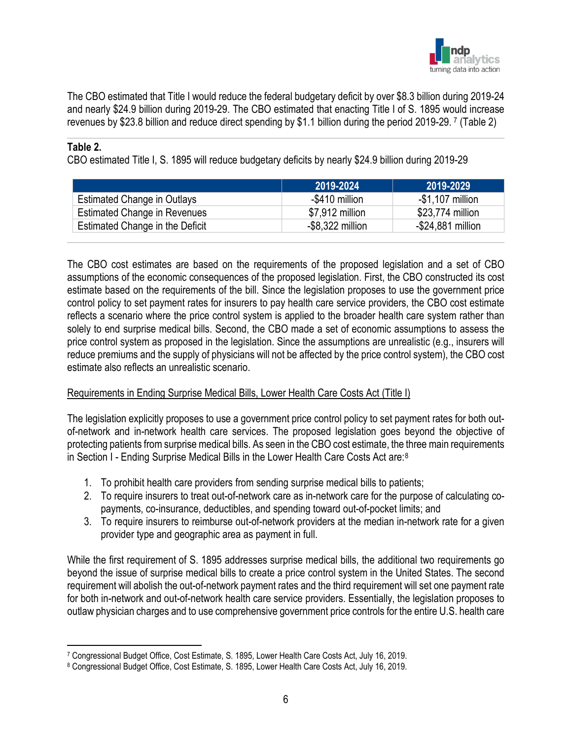

The CBO estimated that Title I would reduce the federal budgetary deficit by over \$8.3 billion during 2019-24 and nearly \$24.9 billion during 2019-29. The CBO estimated that enacting Title I of S. 1895 would increase revenues by \$23.8 billion and reduce direct spending by \$1.1 billion during the period 2019-29. [7](#page-6-0) (Table 2)

#### **Table 2.**

CBO estimated Title I, S. 1895 will reduce budgetary deficits by nearly \$24.9 billion during 2019-29

|                                     | 2019-2024           | 2019-2029         |
|-------------------------------------|---------------------|-------------------|
| Estimated Change in Outlays         | -\$410 million      | $-$1,107$ million |
| <b>Estimated Change in Revenues</b> | \$7,912 million     | \$23,774 million  |
| Estimated Change in the Deficit     | $-$ \$8,322 million | -\$24,881 million |

The CBO cost estimates are based on the requirements of the proposed legislation and a set of CBO assumptions of the economic consequences of the proposed legislation. First, the CBO constructed its cost estimate based on the requirements of the bill. Since the legislation proposes to use the government price control policy to set payment rates for insurers to pay health care service providers, the CBO cost estimate reflects a scenario where the price control system is applied to the broader health care system rather than solely to end surprise medical bills. Second, the CBO made a set of economic assumptions to assess the price control system as proposed in the legislation. Since the assumptions are unrealistic (e.g., insurers will reduce premiums and the supply of physicians will not be affected by the price control system), the CBO cost estimate also reflects an unrealistic scenario.

#### Requirements in Ending Surprise Medical Bills, Lower Health Care Costs Act (Title I)

The legislation explicitly proposes to use a government price control policy to set payment rates for both outof-network and in-network health care services. The proposed legislation goes beyond the objective of protecting patients from surprise medical bills. As seen in the CBO cost estimate, the three main requirements in Section I - Ending Surprise Medical Bills in the Lower Health Care Costs Act are:[8](#page-6-1)

- 1. To prohibit health care providers from sending surprise medical bills to patients;
- 2. To require insurers to treat out-of-network care as in-network care for the purpose of calculating copayments, co-insurance, deductibles, and spending toward out-of-pocket limits; and
- 3. To require insurers to reimburse out-of-network providers at the median in-network rate for a given provider type and geographic area as payment in full.

While the first requirement of S. 1895 addresses surprise medical bills, the additional two requirements go beyond the issue of surprise medical bills to create a price control system in the United States. The second requirement will abolish the out-of-network payment rates and the third requirement will set one payment rate for both in-network and out-of-network health care service providers. Essentially, the legislation proposes to outlaw physician charges and to use comprehensive government price controls for the entire U.S. health care

<span id="page-6-0"></span><sup>7</sup> Congressional Budget Office, Cost Estimate, S. 1895, Lower Health Care Costs Act, July 16, 2019.

<span id="page-6-1"></span><sup>8</sup> Congressional Budget Office, Cost Estimate, S. 1895, Lower Health Care Costs Act, July 16, 2019.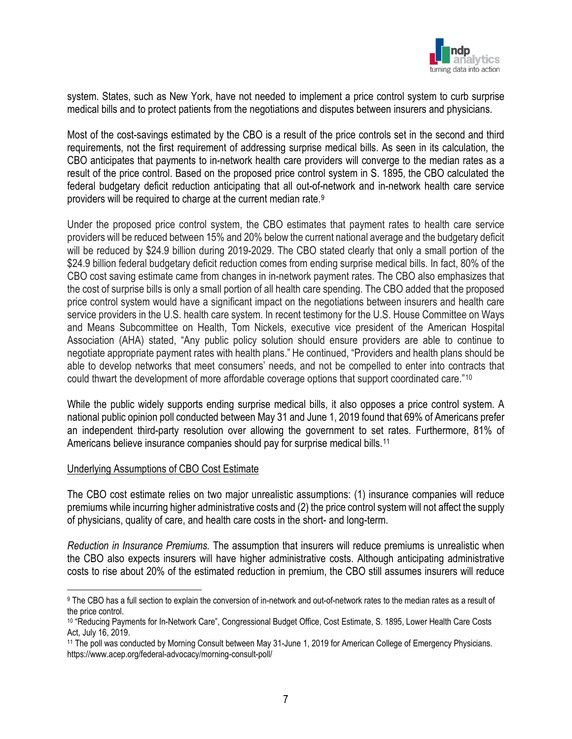

system. States, such as New York, have not needed to implement a price control system to curb surprise medical bills and to protect patients from the negotiations and disputes between insurers and physicians.

Most of the cost-savings estimated by the CBO is a result of the price controls set in the second and third requirements, not the first requirement of addressing surprise medical bills. As seen in its calculation, the CBO anticipates that payments to in-network health care providers will converge to the median rates as a result of the price control. Based on the proposed price control system in S. 1895, the CBO calculated the federal budgetary deficit reduction anticipating that all out-of-network and in-network health care service providers will be required to charge at the current median rate.[9](#page-7-0)

Under the proposed price control system, the CBO estimates that payment rates to health care service providers will be reduced between 15% and 20% below the current national average and the budgetary deficit will be reduced by \$24.9 billion during 2019-2029. The CBO stated clearly that only a small portion of the \$24.9 billion federal budgetary deficit reduction comes from ending surprise medical bills. In fact, 80% of the CBO cost saving estimate came from changes in in-network payment rates. The CBO also emphasizes that the cost of surprise bills is only a small portion of all health care spending. The CBO added that the proposed price control system would have a significant impact on the negotiations between insurers and health care service providers in the U.S. health care system. In recent testimony for the U.S. House Committee on Ways and Means Subcommittee on Health, Tom Nickels, executive vice president of the American Hospital Association (AHA) stated, "Any public policy solution should ensure providers are able to continue to negotiate appropriate payment rates with health plans." He continued, "Providers and health plans should be able to develop networks that meet consumers' needs, and not be compelled to enter into contracts that could thwart the development of more affordable coverage options that support coordinated care."[10](#page-7-1)

While the public widely supports ending surprise medical bills, it also opposes a price control system. A national public opinion poll conducted between May 31 and June 1, 2019 found that 69% of Americans prefer an independent third-party resolution over allowing the government to set rates. Furthermore, 81% of Americans believe insurance companies should pay for surprise medical bills.<sup>[11](#page-7-2)</sup>

#### Underlying Assumptions of CBO Cost Estimate

The CBO cost estimate relies on two major unrealistic assumptions: (1) insurance companies will reduce premiums while incurring higher administrative costs and (2) the price control system will not affect the supply of physicians, quality of care, and health care costs in the short- and long-term.

*Reduction in Insurance Premiums.* The assumption that insurers will reduce premiums is unrealistic when the CBO also expects insurers will have higher administrative costs. Although anticipating administrative costs to rise about 20% of the estimated reduction in premium, the CBO still assumes insurers will reduce

<span id="page-7-0"></span><sup>9</sup> The CBO has a full section to explain the conversion of in-network and out-of-network rates to the median rates as a result of the price control.

<span id="page-7-1"></span><sup>10</sup> "Reducing Payments for In-Network Care", Congressional Budget Office, Cost Estimate, S. 1895, Lower Health Care Costs Act, July 16, 2019.

<span id="page-7-2"></span><sup>&</sup>lt;sup>11</sup> The poll was conducted by Morning Consult between May 31-June 1, 2019 for American College of Emergency Physicians. https://www.acep.org/federal-advocacy/morning-consult-poll/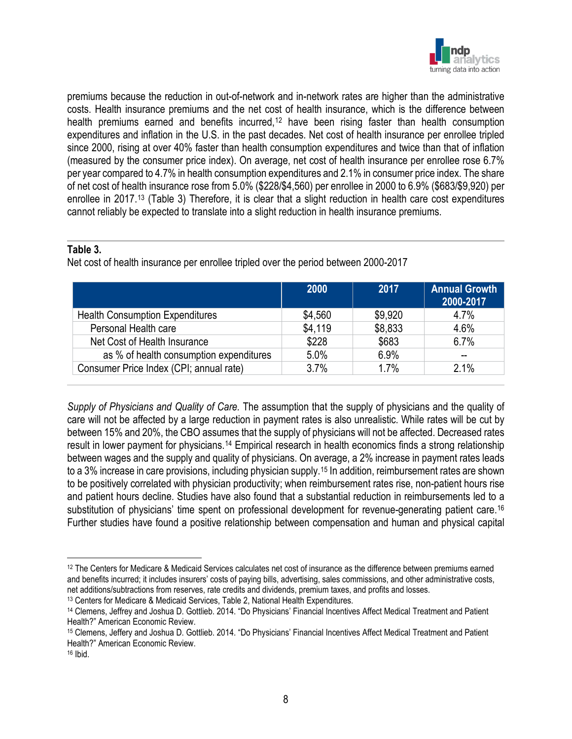

premiums because the reduction in out-of-network and in-network rates are higher than the administrative costs. Health insurance premiums and the net cost of health insurance, which is the difference between health premiums earned and benefits incurred,<sup>[12](#page-8-0)</sup> have been rising faster than health consumption expenditures and inflation in the U.S. in the past decades. Net cost of health insurance per enrollee tripled since 2000, rising at over 40% faster than health consumption expenditures and twice than that of inflation (measured by the consumer price index). On average, net cost of health insurance per enrollee rose 6.7% per year compared to 4.7% in health consumption expenditures and 2.1% in consumer price index. The share of net cost of health insurance rose from 5.0% (\$228/\$4,560) per enrollee in 2000 to 6.9% (\$683/\$9,920) per enrollee in 2017.[13](#page-8-1) (Table 3) Therefore, it is clear that a slight reduction in health care cost expenditures cannot reliably be expected to translate into a slight reduction in health insurance premiums.

#### **Table 3.**

Net cost of health insurance per enrollee tripled over the period between 2000-2017

|                                         | 2000    | 2017    | <b>Annual Growth</b><br>2000-2017 |
|-----------------------------------------|---------|---------|-----------------------------------|
| <b>Health Consumption Expenditures</b>  | \$4,560 | \$9,920 | 4.7%                              |
| Personal Health care                    | \$4,119 | \$8,833 | 4.6%                              |
| Net Cost of Health Insurance            | \$228   | \$683   | 6.7%                              |
| as % of health consumption expenditures | 5.0%    | 6.9%    |                                   |
| Consumer Price Index (CPI; annual rate) | 3.7%    | 1.7%    | 2.1%                              |

*Supply of Physicians and Quality of Care.* The assumption that the supply of physicians and the quality of care will not be affected by a large reduction in payment rates is also unrealistic. While rates will be cut by between 15% and 20%, the CBO assumes that the supply of physicians will not be affected. Decreased rates result in lower payment for physicians.[14](#page-8-2) Empirical research in health economics finds a strong relationship between wages and the supply and quality of physicians. On average, a 2% increase in payment rates leads to a 3% increase in care provisions, including physician supply.[15](#page-8-3) In addition, reimbursement rates are shown to be positively correlated with physician productivity; when reimbursement rates rise, non-patient hours rise and patient hours decline. Studies have also found that a substantial reduction in reimbursements led to a substitution of physicians' time spent on professional development for revenue-generating patient care.<sup>[16](#page-8-4)</sup> Further studies have found a positive relationship between compensation and human and physical capital

<span id="page-8-0"></span><sup>12</sup> The Centers for Medicare & Medicaid Services calculates net cost of insurance as the difference between premiums earned and benefits incurred; it includes insurers' costs of paying bills, advertising, sales commissions, and other administrative costs, net additions/subtractions from reserves, rate credits and dividends, premium taxes, and profits and losses.

<span id="page-8-1"></span><sup>13</sup> Centers for Medicare & Medicaid Services, Table 2, National Health Expenditures.

<span id="page-8-2"></span><sup>14</sup> Clemens, Jeffrey and Joshua D. Gottlieb. 2014. "Do Physicians' Financial Incentives Affect Medical Treatment and Patient Health?" American Economic Review.

<span id="page-8-3"></span><sup>15</sup> Clemens, Jeffery and Joshua D. Gottlieb. 2014. "Do Physicians' Financial Incentives Affect Medical Treatment and Patient Health?" American Economic Review.

<span id="page-8-4"></span><sup>16</sup> Ibid.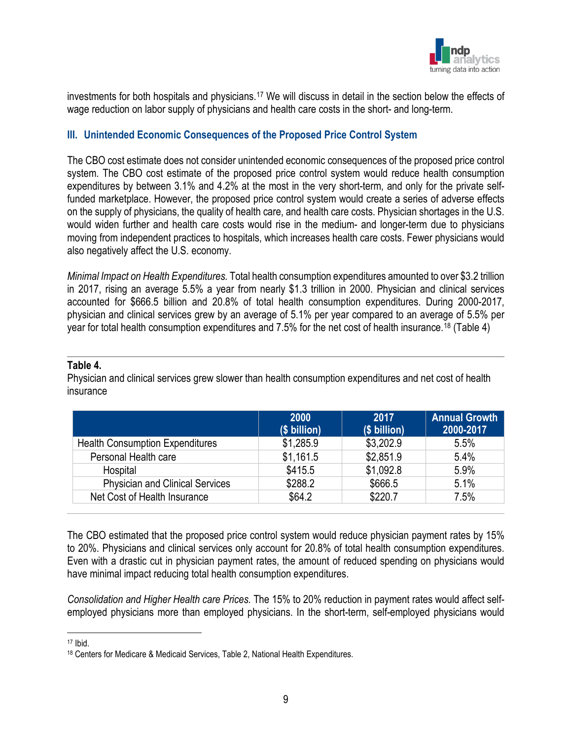

investments for both hospitals and physicians.[17](#page-9-0) We will discuss in detail in the section below the effects of wage reduction on labor supply of physicians and health care costs in the short- and long-term.

#### **III. Unintended Economic Consequences of the Proposed Price Control System**

The CBO cost estimate does not consider unintended economic consequences of the proposed price control system. The CBO cost estimate of the proposed price control system would reduce health consumption expenditures by between 3.1% and 4.2% at the most in the very short-term, and only for the private selffunded marketplace. However, the proposed price control system would create a series of adverse effects on the supply of physicians, the quality of health care, and health care costs. Physician shortages in the U.S. would widen further and health care costs would rise in the medium- and longer-term due to physicians moving from independent practices to hospitals, which increases health care costs. Fewer physicians would also negatively affect the U.S. economy.

*Minimal Impact on Health Expenditures.* Total health consumption expenditures amounted to over \$3.2 trillion in 2017, rising an average 5.5% a year from nearly \$1.3 trillion in 2000. Physician and clinical services accounted for \$666.5 billion and 20.8% of total health consumption expenditures. During 2000-2017, physician and clinical services grew by an average of 5.1% per year compared to an average of 5.5% per year for total health consumption expenditures and 7.5% for the net cost of health insurance.[18](#page-9-1) (Table 4)

#### **Table 4.**

Physician and clinical services grew slower than health consumption expenditures and net cost of health insurance

|                                        | <b>2000</b><br>(\$ billion) | 2017<br>(\$ billion) | <b>Annual Growth</b><br>2000-2017 |
|----------------------------------------|-----------------------------|----------------------|-----------------------------------|
| <b>Health Consumption Expenditures</b> | \$1,285.9                   | \$3,202.9            | 5.5%                              |
| Personal Health care                   | \$1,161.5                   | \$2,851.9            | 5.4%                              |
| Hospital                               | \$415.5                     | \$1,092.8            | 5.9%                              |
| <b>Physician and Clinical Services</b> | \$288.2                     | \$666.5              | 5.1%                              |
| Net Cost of Health Insurance           | \$64.2                      | \$220.7              | 7.5%                              |

The CBO estimated that the proposed price control system would reduce physician payment rates by 15% to 20%. Physicians and clinical services only account for 20.8% of total health consumption expenditures. Even with a drastic cut in physician payment rates, the amount of reduced spending on physicians would have minimal impact reducing total health consumption expenditures.

*Consolidation and Higher Health care Prices.* The 15% to 20% reduction in payment rates would affect selfemployed physicians more than employed physicians. In the short-term, self-employed physicians would

<span id="page-9-0"></span><sup>17</sup> Ibid.

<span id="page-9-1"></span><sup>18</sup> Centers for Medicare & Medicaid Services, Table 2, National Health Expenditures.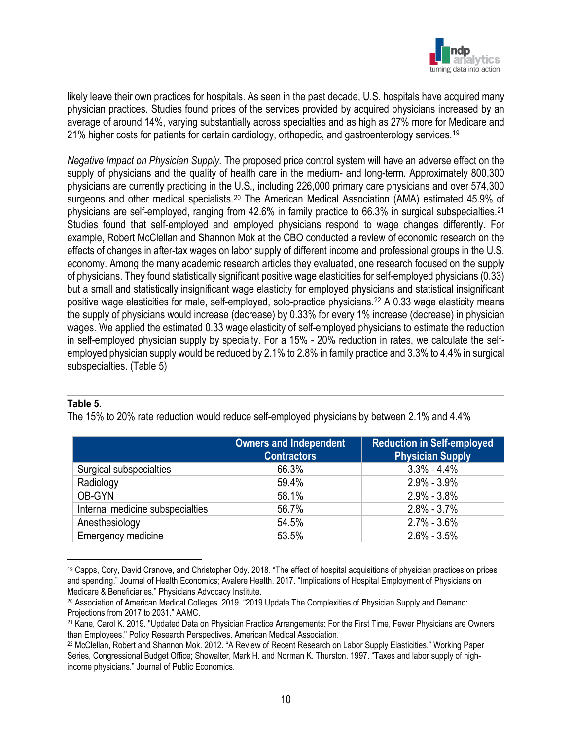

likely leave their own practices for hospitals. As seen in the past decade, U.S. hospitals have acquired many physician practices. Studies found prices of the services provided by acquired physicians increased by an average of around 14%, varying substantially across specialties and as high as 27% more for Medicare and 21% higher costs for patients for certain cardiology, orthopedic, and gastroenterology services.<sup>[19](#page-10-0)</sup>

*Negative Impact on Physician Supply.* The proposed price control system will have an adverse effect on the supply of physicians and the quality of health care in the medium- and long-term. Approximately 800,300 physicians are currently practicing in the U.S., including 226,000 primary care physicians and over 574,300 surgeons and other medical specialists.<sup>[20](#page-10-1)</sup> The American Medical Association (AMA) estimated 45.9% of physicians are self-employed, ranging from 42.6% in family practice to 66.3% in surgical subspecialties.<sup>[21](#page-10-2)</sup> Studies found that self-employed and employed physicians respond to wage changes differently. For example, Robert McClellan and Shannon Mok at the CBO conducted a review of economic research on the effects of changes in after-tax wages on labor supply of different income and professional groups in the U.S. economy. Among the many academic research articles they evaluated, one research focused on the supply of physicians. They found statistically significant positive wage elasticities for self-employed physicians (0.33) but a small and statistically insignificant wage elasticity for employed physicians and statistical insignificant positive wage elasticities for male, self-employed, solo-practice physicians.[22](#page-10-3) A 0.33 wage elasticity means the supply of physicians would increase (decrease) by 0.33% for every 1% increase (decrease) in physician wages. We applied the estimated 0.33 wage elasticity of self-employed physicians to estimate the reduction in self-employed physician supply by specialty. For a 15% - 20% reduction in rates, we calculate the selfemployed physician supply would be reduced by 2.1% to 2.8% in family practice and 3.3% to 4.4% in surgical subspecialties. (Table 5)

#### **Table 5.**

The 15% to 20% rate reduction would reduce self-employed physicians by between 2.1% and 4.4%

|                                  | <b>Owners and Independent</b><br><b>Contractors</b> | <b>Reduction in Self-employed</b><br><b>Physician Supply</b> |
|----------------------------------|-----------------------------------------------------|--------------------------------------------------------------|
| Surgical subspecialties          | 66.3%                                               | $3.3\% - 4.4\%$                                              |
| Radiology                        | 59.4%                                               | $2.9\% - 3.9\%$                                              |
| OB-GYN                           | 58.1%                                               | $2.9\% - 3.8\%$                                              |
| Internal medicine subspecialties | 56.7%                                               | $2.8\% - 3.7\%$                                              |
| Anesthesiology                   | 54.5%                                               | $2.7\% - 3.6\%$                                              |
| Emergency medicine               | 53.5%                                               | $2.6\% - 3.5\%$                                              |

<span id="page-10-0"></span><sup>19</sup> Capps, Cory, David Cranove, and Christopher Ody. 2018. "The effect of hospital acquisitions of physician practices on prices and spending." Journal of Health Economics; Avalere Health. 2017. "Implications of Hospital Employment of Physicians on Medicare & Beneficiaries." Physicians Advocacy Institute.

<span id="page-10-1"></span><sup>20</sup> Association of American Medical Colleges. 2019. "2019 Update The Complexities of Physician Supply and Demand: Projections from 2017 to 2031." AAMC.

<span id="page-10-2"></span><sup>21</sup> Kane, Carol K. 2019. "Updated Data on Physician Practice Arrangements: For the First Time, Fewer Physicians are Owners than Employees." Policy Research Perspectives, American Medical Association.

<span id="page-10-3"></span><sup>22</sup> McClellan, Robert and Shannon Mok. 2012. "A Review of Recent Research on Labor Supply Elasticities." Working Paper Series, Congressional Budget Office; Showalter, Mark H. and Norman K. Thurston. 1997. "Taxes and labor supply of highincome physicians." Journal of Public Economics.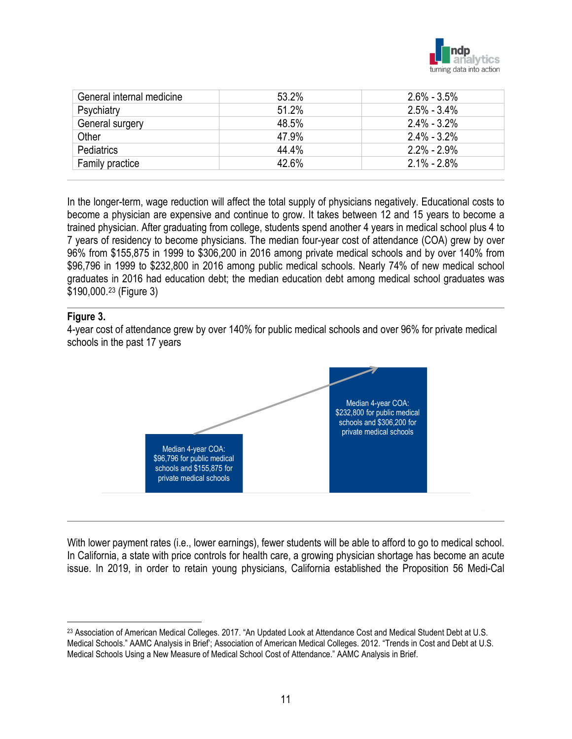

| General internal medicine | 53.2% | $2.6\% - 3.5\%$ |
|---------------------------|-------|-----------------|
| Psychiatry                | 51.2% | $2.5\% - 3.4\%$ |
| General surgery           | 48.5% | $2.4\% - 3.2\%$ |
| Other                     | 47.9% | $2.4\% - 3.2\%$ |
| <b>Pediatrics</b>         | 44.4% | $2.2\% - 2.9\%$ |
| <b>Family practice</b>    | 42.6% | $2.1\% - 2.8\%$ |

In the longer-term, wage reduction will affect the total supply of physicians negatively. Educational costs to become a physician are expensive and continue to grow. It takes between 12 and 15 years to become a trained physician. After graduating from college, students spend another 4 years in medical school plus 4 to 7 years of residency to become physicians. The median four-year cost of attendance (COA) grew by over 96% from \$155,875 in 1999 to \$306,200 in 2016 among private medical schools and by over 140% from \$96,796 in 1999 to \$232,800 in 2016 among public medical schools. Nearly 74% of new medical school graduates in 2016 had education debt; the median education debt among medical school graduates was \$190,000.[23](#page-11-0) (Figure 3)

#### **Figure 3.**

4-year cost of attendance grew by over 140% for public medical schools and over 96% for private medical schools in the past 17 years



With lower payment rates (i.e., lower earnings), fewer students will be able to afford to go to medical school. In California, a state with price controls for health care, a growing physician shortage has become an acute issue. In 2019, in order to retain young physicians, California established the Proposition 56 Medi-Cal

<span id="page-11-0"></span><sup>23</sup> Association of American Medical Colleges. 2017. "An Updated Look at Attendance Cost and Medical Student Debt at U.S. Medical Schools." AAMC Analysis in Brief'; Association of American Medical Colleges. 2012. "Trends in Cost and Debt at U.S. Medical Schools Using a New Measure of Medical School Cost of Attendance." AAMC Analysis in Brief.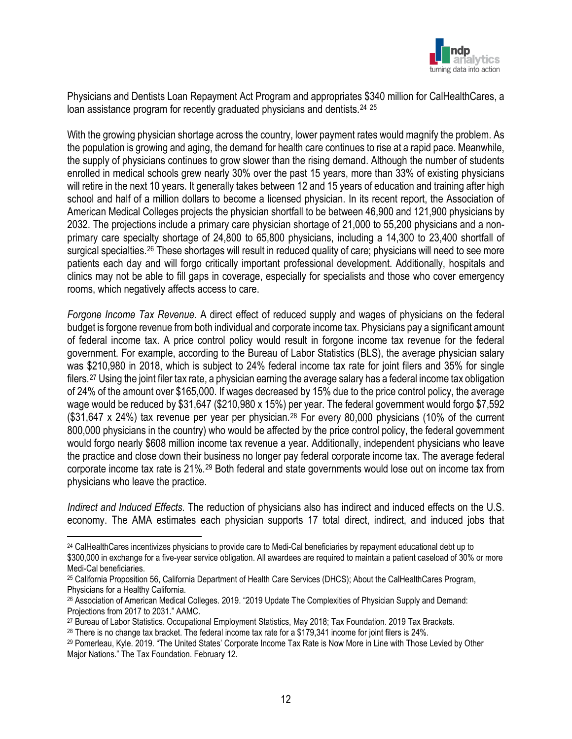

Physicians and Dentists Loan Repayment Act Program and appropriates \$340 million for CalHealthCares, a loan assistance program for recently graduated physicians and dentists.<sup>24</sup><sup>[25](#page-12-1)</sup>

With the growing physician shortage across the country, lower payment rates would magnify the problem. As the population is growing and aging, the demand for health care continues to rise at a rapid pace. Meanwhile, the supply of physicians continues to grow slower than the rising demand. Although the number of students enrolled in medical schools grew nearly 30% over the past 15 years, more than 33% of existing physicians will retire in the next 10 years. It generally takes between 12 and 15 years of education and training after high school and half of a million dollars to become a licensed physician. In its recent report, the Association of American Medical Colleges projects the physician shortfall to be between 46,900 and 121,900 physicians by 2032. The projections include a primary care physician shortage of 21,000 to 55,200 physicians and a nonprimary care specialty shortage of 24,800 to 65,800 physicians, including a 14,300 to 23,400 shortfall of surgical specialties.<sup>[26](#page-12-2)</sup> These shortages will result in reduced quality of care; physicians will need to see more patients each day and will forgo critically important professional development. Additionally, hospitals and clinics may not be able to fill gaps in coverage, especially for specialists and those who cover emergency rooms, which negatively affects access to care.

*Forgone Income Tax Revenue.* A direct effect of reduced supply and wages of physicians on the federal budget is forgone revenue from both individual and corporate income tax. Physicians pay a significant amount of federal income tax. A price control policy would result in forgone income tax revenue for the federal government. For example, according to the Bureau of Labor Statistics (BLS), the average physician salary was \$210,980 in 2018, which is subject to 24% federal income tax rate for joint filers and 35% for single filers.[27](#page-12-3) Using the joint filer tax rate, a physician earning the average salary has a federal income tax obligation of 24% of the amount over \$165,000. If wages decreased by 15% due to the price control policy, the average wage would be reduced by \$31,647 (\$210,980 x 15%) per year. The federal government would forgo \$7,592 (\$31,647 x 24%) tax revenue per year per physician.[28](#page-12-4) For every 80,000 physicians (10% of the current 800,000 physicians in the country) who would be affected by the price control policy, the federal government would forgo nearly \$608 million income tax revenue a year. Additionally, independent physicians who leave the practice and close down their business no longer pay federal corporate income tax. The average federal corporate income tax rate is 21%.[29](#page-12-5) Both federal and state governments would lose out on income tax from physicians who leave the practice.

*Indirect and Induced Effects.* The reduction of physicians also has indirect and induced effects on the U.S. economy. The AMA estimates each physician supports 17 total direct, indirect, and induced jobs that

<span id="page-12-3"></span><sup>27</sup> Bureau of Labor Statistics. Occupational Employment Statistics, May 2018; Tax Foundation. 2019 Tax Brackets.

<span id="page-12-0"></span><sup>24</sup> CalHealthCares incentivizes physicians to provide care to Medi-Cal beneficiaries by repayment educational debt up to \$300,000 in exchange for a five-year service obligation. All awardees are required to maintain a patient caseload of 30% or more Medi-Cal beneficiaries.

<span id="page-12-1"></span><sup>25</sup> California Proposition 56, California Department of Health Care Services (DHCS); About the CalHealthCares Program, Physicians for a Healthy California.

<span id="page-12-2"></span><sup>26</sup> Association of American Medical Colleges. 2019. "2019 Update The Complexities of Physician Supply and Demand: Projections from 2017 to 2031." AAMC.

<span id="page-12-4"></span><sup>28</sup> There is no change tax bracket. The federal income tax rate for a \$179,341 income for joint filers is 24%.

<span id="page-12-5"></span><sup>29</sup> Pomerleau, Kyle. 2019. "The United States' Corporate Income Tax Rate is Now More in Line with Those Levied by Other Major Nations." The Tax Foundation. February 12.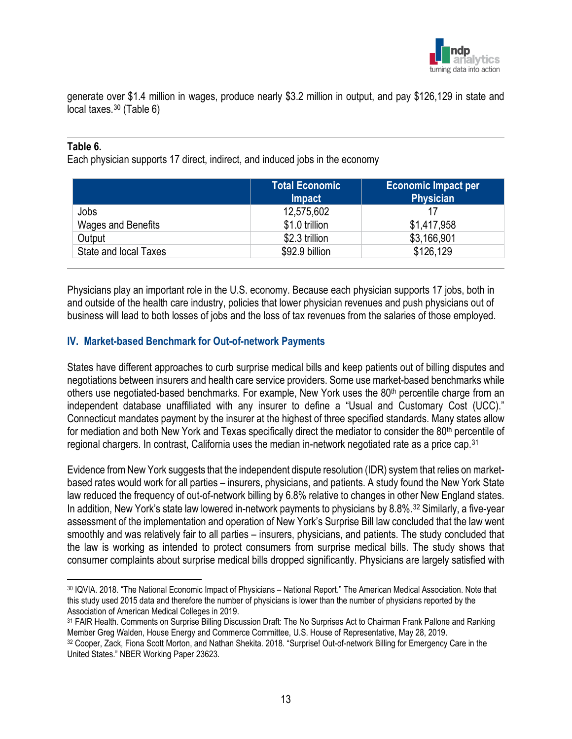

generate over \$1.4 million in wages, produce nearly \$3.2 million in output, and pay \$126,129 in state and local taxes.[30](#page-13-0) (Table 6)

#### **Table 6.**

Each physician supports 17 direct, indirect, and induced jobs in the economy

|                       | <b>Total Economic</b><br>Impact | <b>Economic Impact per</b><br><b>Physician</b> |
|-----------------------|---------------------------------|------------------------------------------------|
| Jobs                  | 12,575,602                      | 17                                             |
| Wages and Benefits    | \$1.0 trillion                  | \$1,417,958                                    |
| Output                | \$2.3 trillion                  | \$3,166,901                                    |
| State and local Taxes | \$92.9 billion                  | \$126,129                                      |

Physicians play an important role in the U.S. economy. Because each physician supports 17 jobs, both in and outside of the health care industry, policies that lower physician revenues and push physicians out of business will lead to both losses of jobs and the loss of tax revenues from the salaries of those employed.

#### **IV. Market-based Benchmark for Out-of-network Payments**

States have different approaches to curb surprise medical bills and keep patients out of billing disputes and negotiations between insurers and health care service providers. Some use market-based benchmarks while others use negotiated-based benchmarks. For example, New York uses the 80<sup>th</sup> percentile charge from an independent database unaffiliated with any insurer to define a "Usual and Customary Cost (UCC)." Connecticut mandates payment by the insurer at the highest of three specified standards. Many states allow for mediation and both New York and Texas specifically direct the mediator to consider the 80<sup>th</sup> percentile of regional chargers. In contrast, California uses the median in-network negotiated rate as a price cap.[31](#page-13-1)

Evidence from New York suggests that the independent dispute resolution (IDR) system that relies on marketbased rates would work for all parties – insurers, physicians, and patients. A study found the New York State law reduced the frequency of out-of-network billing by 6.8% relative to changes in other New England states. In addition, New York's state law lowered in-network payments to physicians by 8.8%.[32](#page-13-2) Similarly, a five-year assessment of the implementation and operation of New York's Surprise Bill law concluded that the law went smoothly and was relatively fair to all parties – insurers, physicians, and patients. The study concluded that the law is working as intended to protect consumers from surprise medical bills. The study shows that consumer complaints about surprise medical bills dropped significantly. Physicians are largely satisfied with

<span id="page-13-0"></span><sup>30</sup> IQVIA. 2018. "The National Economic Impact of Physicians – National Report." The American Medical Association. Note that this study used 2015 data and therefore the number of physicians is lower than the number of physicians reported by the Association of American Medical Colleges in 2019.

<span id="page-13-1"></span><sup>31</sup> FAIR Health. Comments on Surprise Billing Discussion Draft: The No Surprises Act to Chairman Frank Pallone and Ranking Member Greg Walden, House Energy and Commerce Committee, U.S. House of Representative, May 28, 2019.

<span id="page-13-2"></span><sup>32</sup> Cooper, Zack, Fiona Scott Morton, and Nathan Shekita. 2018. "Surprise! Out-of-network Billing for Emergency Care in the United States." NBER Working Paper 23623.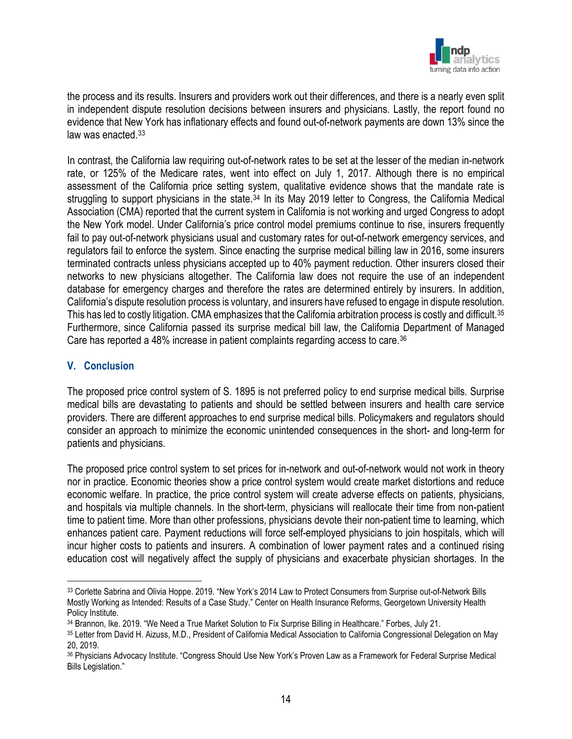

the process and its results. Insurers and providers work out their differences, and there is a nearly even split in independent dispute resolution decisions between insurers and physicians. Lastly, the report found no evidence that New York has inflationary effects and found out-of-network payments are down 13% since the law was enacted.<sup>[33](#page-14-0)</sup>

In contrast, the California law requiring out-of-network rates to be set at the lesser of the median in-network rate, or 125% of the Medicare rates, went into effect on July 1, 2017. Although there is no empirical assessment of the California price setting system, qualitative evidence shows that the mandate rate is struggling to support physicians in the state.<sup>[34](#page-14-1)</sup> In its May 2019 letter to Congress, the California Medical Association (CMA) reported that the current system in California is not working and urged Congress to adopt the New York model. Under California's price control model premiums continue to rise, insurers frequently fail to pay out-of-network physicians usual and customary rates for out-of-network emergency services, and regulators fail to enforce the system. Since enacting the surprise medical billing law in 2016, some insurers terminated contracts unless physicians accepted up to 40% payment reduction. Other insurers closed their networks to new physicians altogether. The California law does not require the use of an independent database for emergency charges and therefore the rates are determined entirely by insurers. In addition, California's dispute resolution process is voluntary, and insurers have refused to engage in dispute resolution. This has led to costly litigation. CMA emphasizes that the California arbitration process is costly and difficult.<sup>[35](#page-14-2)</sup> Furthermore, since California passed its surprise medical bill law, the California Department of Managed Care has reported a 48% increase in patient complaints regarding access to care.<sup>[36](#page-14-3)</sup>

#### **V. Conclusion**

The proposed price control system of S. 1895 is not preferred policy to end surprise medical bills. Surprise medical bills are devastating to patients and should be settled between insurers and health care service providers. There are different approaches to end surprise medical bills. Policymakers and regulators should consider an approach to minimize the economic unintended consequences in the short- and long-term for patients and physicians.

The proposed price control system to set prices for in-network and out-of-network would not work in theory nor in practice. Economic theories show a price control system would create market distortions and reduce economic welfare. In practice, the price control system will create adverse effects on patients, physicians, and hospitals via multiple channels. In the short-term, physicians will reallocate their time from non-patient time to patient time. More than other professions, physicians devote their non-patient time to learning, which enhances patient care. Payment reductions will force self-employed physicians to join hospitals, which will incur higher costs to patients and insurers. A combination of lower payment rates and a continued rising education cost will negatively affect the supply of physicians and exacerbate physician shortages. In the

<span id="page-14-0"></span><sup>33</sup> Corlette Sabrina and Olivia Hoppe. 2019. "New York's 2014 Law to Protect Consumers from Surprise out-of-Network Bills Mostly Working as Intended: Results of a Case Study." Center on Health Insurance Reforms, Georgetown University Health Policy Institute.

<span id="page-14-1"></span><sup>34</sup> Brannon, Ike. 2019. "We Need a True Market Solution to Fix Surprise Billing in Healthcare." Forbes, July 21.

<span id="page-14-2"></span><sup>35</sup> Letter from David H. Aizuss, M.D., President of California Medical Association to California Congressional Delegation on May 20, 2019.

<span id="page-14-3"></span><sup>36</sup> Physicians Advocacy Institute. "Congress Should Use New York's Proven Law as a Framework for Federal Surprise Medical Bills Legislation."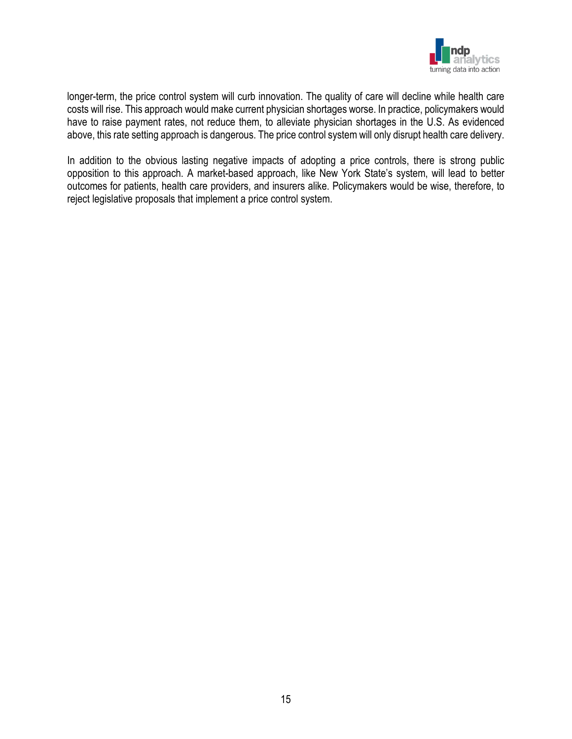

longer-term, the price control system will curb innovation. The quality of care will decline while health care costs will rise. This approach would make current physician shortages worse. In practice, policymakers would have to raise payment rates, not reduce them, to alleviate physician shortages in the U.S. As evidenced above, this rate setting approach is dangerous. The price control system will only disrupt health care delivery.

In addition to the obvious lasting negative impacts of adopting a price controls, there is strong public opposition to this approach. A market-based approach, like New York State's system, will lead to better outcomes for patients, health care providers, and insurers alike. Policymakers would be wise, therefore, to reject legislative proposals that implement a price control system.